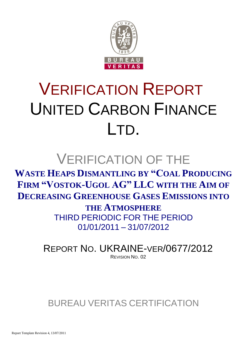

# VERIFICATION REPORT UNITED CARBON FINANCE LTD.

## VERIFICATION OF THE

**WASTE HEAPS DISMANTLING BY "COAL PRODUCING FIRM "VOSTOK-UGOL AG" LLC WITH THE AIM OF DECREASING GREENHOUSE GASES EMISSIONS INTO** 

> **THE ATMOSPHERE** THIRD PERIODIC FOR THE PERIOD 01/01/2011 – 31/07/2012

REPORT NO. UKRAINE-VER/0677/2012 REVISION NO. 02

BUREAU VERITAS CERTIFICATION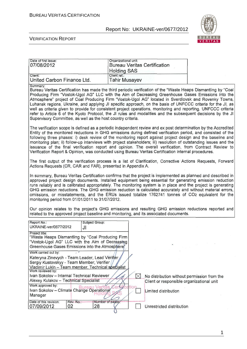Date of first issue: **Organizational unit:** 

#### Report No: UKRAINE-ver/0677/2012



#### VERIFICATION REPORT

| 07/08/2012                                                                                                                                                                                                                                                                                                                                                                                                                                                                                                                                                                                                                                                                                                                                                | <b>Bureau Veritas Certification</b><br><b>Holding SAS</b>                                                        |  |
|-----------------------------------------------------------------------------------------------------------------------------------------------------------------------------------------------------------------------------------------------------------------------------------------------------------------------------------------------------------------------------------------------------------------------------------------------------------------------------------------------------------------------------------------------------------------------------------------------------------------------------------------------------------------------------------------------------------------------------------------------------------|------------------------------------------------------------------------------------------------------------------|--|
| Client:<br>United Carbon Finance Ltd.                                                                                                                                                                                                                                                                                                                                                                                                                                                                                                                                                                                                                                                                                                                     | Client ref.:<br><b>Tahir Musayev</b>                                                                             |  |
| Summary:<br>Bureau Veritas Certification has made the third periodic verification of the "Waste Heaps Dismantling by "Coal<br>Producing Firm "Vostok-Ugol AG" LLC with the Aim of Decreasing Greenhouse Gases Emissions into the<br>Atmosphere" project of Coal Producing Firm "Vostok-Ugol AG" located in Sverdlovsk and Rovenky Towns,<br>Luhansk regions, Ukraine, and applying JI specific approach, on the basis of UNFCCC criteria for the JI, as<br>well as criteria given to provide for consistent project operations, monitoring and reporting. UNFCCC criteria<br>refer to Article 6 of the Kyoto Protocol, the JI rules and modalities and the subsequent decisions by the JI<br>Supervisory Committee, as well as the host country criteria. |                                                                                                                  |  |
| The verification scope is defined as a periodic independent review and ex post determination by the Accredited<br>Entity of the monitored reductions in GHG emissions during defined verification period, and consisted of the<br>following three phases: i) desk review of the monitoring report against project design and the baseline and<br>monitoring plan; ii) follow-up interviews with project stakeholders; iii) resolution of outstanding issues and the<br>issuance of the final verification report and opinion. The overall verification, from Contract Review to<br>Verification Report & Opinion, was conducted using Bureau Veritas Certification internal procedures.                                                                   |                                                                                                                  |  |
| The first output of the verification process is a list of Clarification, Corrective Actions Requests, Forward<br>Actions Requests (CR, CAR and FAR), presented in Appendix A.                                                                                                                                                                                                                                                                                                                                                                                                                                                                                                                                                                             |                                                                                                                  |  |
| In summary, Bureau Veritas Certification confirms that the project is implemented as planned and described in<br>approved project design documents. Installed equipment being essential for generating emission reduction<br>runs reliably and is calibrated appropriately. The monitoring system is in place and the project is generating<br>GHG emission reductions. The GHG emission reduction is calculated accurately and without material errors,<br>omissions, or misstatements, and the ERUs issued totalize 1762741 tonnes of CO2 equivalent for the<br>monitoring period from 01/01/2011 to 31/07/2012.<br>Our opinion relates to the project's GHG emissions and resulting GHG emission reductions reported and                               |                                                                                                                  |  |
| related to the approved project baseline and monitoring, and its associated documents.                                                                                                                                                                                                                                                                                                                                                                                                                                                                                                                                                                                                                                                                    |                                                                                                                  |  |
| Report No.:<br>Subject Group:<br>UKRAINE-ver/0677/2012<br>JI                                                                                                                                                                                                                                                                                                                                                                                                                                                                                                                                                                                                                                                                                              |                                                                                                                  |  |
| Project title:<br>"Waste Heaps Dismantling by "Coal Producing Firm<br>"Vostok-Ugol AG" LLC with the Aim of Decreasing<br>Greenhouse Gases Emissions into the Atmosphere"                                                                                                                                                                                                                                                                                                                                                                                                                                                                                                                                                                                  |                                                                                                                  |  |
| Work carried out by:<br>Kateryna Zinevych - Team Leader, Lead Verifjer,<br>Sergiy Kustovskyy - Team Member, Verifier<br>Vladimir Lukin - Team member, Technical specialist                                                                                                                                                                                                                                                                                                                                                                                                                                                                                                                                                                                |                                                                                                                  |  |
| Ivan Sokolov - Internal Technical Reviewer<br>Alexey Kulakov - Technical Specialist<br>Work approved by:<br>Ivan Sokolov - Climate Change Operational                                                                                                                                                                                                                                                                                                                                                                                                                                                                                                                                                                                                     | No distribution without permission from the<br>Client or responsible organizational unit<br>Limited distribution |  |
| Manager                                                                                                                                                                                                                                                                                                                                                                                                                                                                                                                                                                                                                                                                                                                                                   |                                                                                                                  |  |
| Date of this revision:<br>Rev-No.<br>Number of pages<br>28<br>07/09/2012<br>02                                                                                                                                                                                                                                                                                                                                                                                                                                                                                                                                                                                                                                                                            | Unrestricted distribution                                                                                        |  |

1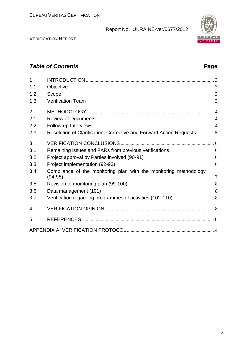VERIFICATION REPORT

| $\overline{1}$<br>1.1 | Objective                                                                      | 3              |
|-----------------------|--------------------------------------------------------------------------------|----------------|
| 1.2                   | Scope                                                                          | 3              |
| 1.3                   | <b>Verification Team</b>                                                       | 3              |
|                       |                                                                                |                |
| 2                     |                                                                                |                |
| 2.1                   | <b>Review of Documents</b>                                                     | $\overline{4}$ |
| 2.2                   | Follow-up Interviews                                                           | $\overline{4}$ |
| 2.3                   | Resolution of Clarification, Corrective and Forward Action Requests            | 5              |
| 3                     |                                                                                |                |
| 3.1                   | Remaining issues and FARs from previous verifications                          | 6              |
| 3.2                   | Project approval by Parties involved (90-91)                                   | 6              |
| 3.3                   | Project implementation (92-93)                                                 | 6              |
| 3.4                   | Compliance of the monitoring plan with the monitoring methodology<br>$(94-98)$ | $\overline{7}$ |
| 3.5                   | Revision of monitoring plan (99-100)                                           | 8              |
| 3.6                   | Data management (101)                                                          | 8              |
| 3.7                   | Verification regarding programmes of activities (102-110)                      | 8              |
| 4                     |                                                                                |                |
| 5                     |                                                                                |                |
|                       |                                                                                |                |

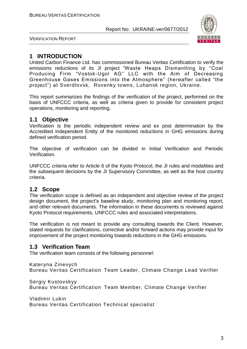

VERIFICATION REPORT

#### **1 INTRODUCTION**

United Carbon Finance Ltd. has commissioned Bureau Veritas Certification to verify the emissions reductions of its JI project "Waste Heaps Dismantling by "Coal Producing Firm "Vostok-Ugol AG" LLC with the Aim of Decreasing Greenhouse Gases Emissions into the Atmosphere" (hereafter called "the project") at Sverdlovsk, Rovenky towns, Luhansk region, Ukraine.

This report summarizes the findings of the verification of the project, performed on the basis of UNFCCC criteria, as well as criteria given to provide for consistent project operations, monitoring and reporting.

#### **1.1 Objective**

Verification is the periodic independent review and ex post determination by the Accredited Independent Entity of the monitored reductions in GHG emissions during defined verification period.

The objective of verification can be divided in Initial Verification and Periodic Verification.

UNFCCC criteria refer to Article 6 of the Kyoto Protocol, the JI rules and modalities and the subsequent decisions by the JI Supervisory Committee, as well as the host country criteria.

#### **1.2 Scope**

The verification scope is defined as an independent and objective review of the project design document, the project's baseline study, monitoring plan and monitoring report, and other relevant documents. The information in these documents is reviewed against Kyoto Protocol requirements, UNFCCC rules and associated interpretations.

The verification is not meant to provide any consulting towards the Client. However, stated requests for clarifications, corrective and/or forward actions may provide input for improvement of the project monitoring towards reductions in the GHG emissions.

#### **1.3 Verification Team**

The verification team consists of the following personnel:

Kateryna Zinevych Bureau Veritas Certification Team Leader, Climate Change Lead Verifier

Sergiy Kustovskyy Bureau Veritas Certification Team Member, Climate Change Verifier

Vladimir Lukin Bureau Veritas Certification Technical specialist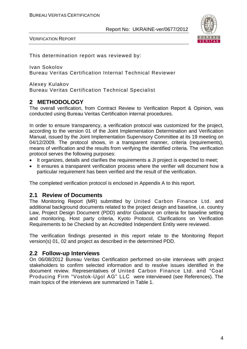

VERIFICATION REPORT

This determination report was reviewed by:

Ivan Sokolov Bureau Veritas Certification Internal Technical Reviewer

Alexey Kulakov Bureau Veritas Certification Technical Specialist

#### **2 METHODOLOGY**

The overall verification, from Contract Review to Verification Report & Opinion, was conducted using Bureau Veritas Certification internal procedures.

In order to ensure transparency, a verification protocol was customized for the project, according to the version 01 of the Joint Implementation Determination and Verification Manual, issued by the Joint Implementation Supervisory Committee at its 19 meeting on 04/12/2009. The protocol shows, in a transparent manner, criteria (requirements), means of verification and the results from verifying the identified criteria. The verification protocol serves the following purposes:

- It organizes, details and clarifies the requirements a JI project is expected to meet;
- It ensures a transparent verification process where the verifier will document how a particular requirement has been verified and the result of the verification.

The completed verification protocol is enclosed in Appendix A to this report.

#### **2.1 Review of Documents**

The Monitoring Report (MR) submitted by United Carbon Finance Ltd. and additional background documents related to the project design and baseline, i.e. country Law, Project Design Document (PDD) and/or Guidance on criteria for baseline setting and monitoring, Host party criteria, Kyoto Protocol, Clarifications on Verification Requirements to be Checked by an Accredited Independent Entity were reviewed.

The verification findings presented in this report relate to the Monitoring Report version(s) 01, 02 and project as described in the determined PDD.

#### **2.2 Follow-up Interviews**

On 06/08/2012 Bureau Veritas Certification performed on-site interviews with project stakeholders to confirm selected information and to resolve issues identified in the document review. Representatives of United Carbon Finance Ltd. and "Coal Producing Firm "Vostok-Ugol AG" LLC were interviewed (see References). The main topics of the interviews are summarized in Table 1.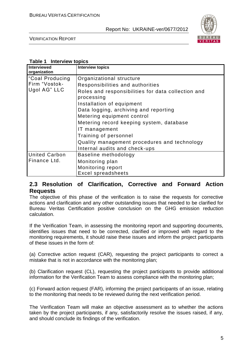

VERIFICATION REPORT

#### **Table 1 Interview topics**

| Interviewed<br>organization                                  | <b>Interview topics</b>                                                                                                                                                                                                              |
|--------------------------------------------------------------|--------------------------------------------------------------------------------------------------------------------------------------------------------------------------------------------------------------------------------------|
| Coal Producing <sup>1</sup><br>Firm "Vostok-<br>Ugol AG" LLC | Organizational structure<br>Responsibilities and authorities<br>Roles and responsibilities for data collection and<br>processing<br>Installation of equipment<br>Data logging, archiving and reporting<br>Metering equipment control |
|                                                              | Metering record keeping system, database<br>IT management<br>Training of personnel<br>Quality management procedures and technology<br>Internal audits and check-ups                                                                  |
| <b>United Carbon</b><br>Finance Ltd.                         | Baseline methodology<br>Monitoring plan<br>Monitoring report<br><b>Excel spreadsheets</b>                                                                                                                                            |

#### **2.3 Resolution of Clarification, Corrective and Forward Action Requests**

The objective of this phase of the verification is to raise the requests for corrective actions and clarification and any other outstanding issues that needed to be clarified for Bureau Veritas Certification positive conclusion on the GHG emission reduction calculation.

If the Verification Team, in assessing the monitoring report and supporting documents, identifies issues that need to be corrected, clarified or improved with regard to the monitoring requirements, it should raise these issues and inform the project participants of these issues in the form of:

(a) Corrective action request (CAR), requesting the project participants to correct a mistake that is not in accordance with the monitoring plan;

(b) Clarification request (CL), requesting the project participants to provide additional information for the Verification Team to assess compliance with the monitoring plan;

(c) Forward action request (FAR), informing the project participants of an issue, relating to the monitoring that needs to be reviewed during the next verification period.

The Verification Team will make an objective assessment as to whether the actions taken by the project participants, if any, satisfactorily resolve the issues raised, if any, and should conclude its findings of the verification.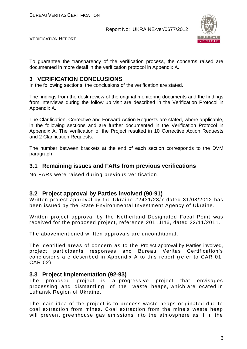

VERIFICATION REPORT

To guarantee the transparency of the verification process, the concerns raised are documented in more detail in the verification protocol in Appendix A.

#### **3 VERIFICATION CONCLUSIONS**

In the following sections, the conclusions of the verification are stated.

The findings from the desk review of the original monitoring documents and the findings from interviews during the follow up visit are described in the Verification Protocol in Appendix A.

The Clarification, Corrective and Forward Action Requests are stated, where applicable, in the following sections and are further documented in the Verification Protocol in Appendix A. The verification of the Project resulted in 10 Corrective Action Requests and 2 Clarification Requests.

The number between brackets at the end of each section corresponds to the DVM paragraph.

#### **3.1 Remaining issues and FARs from previous verifications**

No FARs were raised during previous verification.

#### **3.2 Project approval by Parties involved (90-91)**

Written project approval by the Ukraine #2431/23/7 dated 31/08/2012 has been issued by the State Environmental Investment Agency of Ukraine.

Written project approval by the Netherland Designated Focal Point was received for the proposed project, reference 2011JI46, dated 22/11/2011.

The abovementioned written approvals are unconditional.

The identified areas of concern as to the Project approval by Parties involved, project participants responses and Bureau Veritas Certification's conclusions are described in Appendix A to this report (refer to CAR 01, CAR 02).

#### **3.3 Project implementation (92-93)**

The proposed project is a progressive project that envisages processing and dismantling of the waste heaps, which are located in Luhansk Region of Ukraine.

The main idea of the project is to process waste heaps originated due to coal extraction from mines. Coal extraction from the mine's waste heap will prevent greenhouse gas emissions into the atmosphere as if in the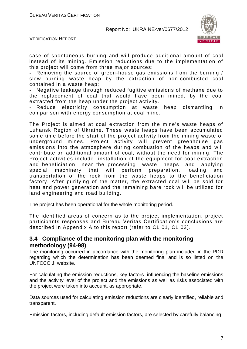

VERIFICATION REPORT

case of spontaneous burning and will produce additional amount of coal instead of its mining. Emission reductions due to the implementation of this project will come from three major sources:

- Removing the source of green-house gas emissions from the burning / slow burning waste heap by the extraction of non-combusted coal contained in a waste heap;

Negative leakage through reduced fugitive emissions of methane due to the replacement of coal that would have been mined, by the coal extracted from the heap under the project activity.

Reduce electricity consumption at waste heap dismantling in comparison with energy consumption at coal mine.

The Project is aimed at coal extraction from the mine's waste heaps of Luhansk Region of Ukraine. These waste heaps have been accumulated some time before the start of the project activity from the mining waste of underground mines. Project activity will prevent greenhouse gas emissions into the atmosphere during combustion of the heaps and will contribute an additional amount of coal, without the need for mining. The Project activities include installation of the equipment for coal extraction and beneficiation near the processing waste heaps and applying special machinery that will perform preparation, loading and transportation of the rock from the waste heaps to the beneficiation factory. After purifying of the matter, the extracted coal will be sold for heat and power generation and the remaining bare rock will be utilized for land engineering and road building.

The project has been operational for the whole monitoring period.

The identified areas of concern as to the project implementation, project participants responses and Bureau Veritas Certification's conclusions are described in Appendix A to this report (refer to CL 01, CL 02).

#### **3.4 Compliance of the monitoring plan with the monitoring methodology (94-98)**

The monitoring occurred in accordance with the monitoring plan included in the PDD regarding which the determination has been deemed final and is so listed on the UNFCCC JI website.

For calculating the emission reductions, key factors influencing the baseline emissions and the activity level of the project and the emissions as well as risks associated with the project were taken into account, as appropriate.

Data sources used for calculating emission reductions are clearly identified, reliable and transparent.

Emission factors, including default emission factors, are selected by carefully balancing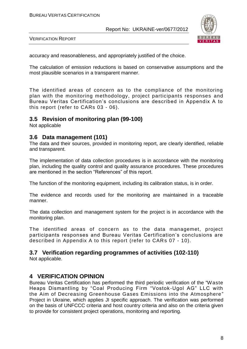

VERIFICATION REPORT

accuracy and reasonableness, and appropriately justified of the choice.

The calculation of emission reductions is based on conservative assumptions and the most plausible scenarios in a transparent manner.

The identified areas of concern as to the compliance of the monitoring plan with the monitoring methodology, project participants responses and Bureau Veritas Certification's conclusions are described in Appendix A to this report (refer to CARs 03 - 06).

#### **3.5 Revision of monitoring plan (99-100)**

Not applicable

#### **3.6 Data management (101)**

The data and their sources, provided in monitoring report, are clearly identified, reliable and transparent.

The implementation of data collection procedures is in accordance with the monitoring plan, including the quality control and quality assurance procedures. These procedures are mentioned in the section "References" of this report.

The function of the monitoring equipment, including its calibration status, is in order.

The evidence and records used for the monitoring are maintained in a traceable manner.

The data collection and management system for the project is in accordance with the monitoring plan.

The identified areas of concern as to the data managemet, project participants responses and Bureau Veritas Certification's conclusions are described in Appendix A to this report (refer to CARs 07 - 10).

### **3.7 Verification regarding programmes of activities (102-110)**

Not applicable.

#### **4 VERIFICATION OPINION**

Bureau Veritas Certification has performed the third periodic verification of the "Waste Heaps Dismantling by "Coal Producing Firm "Vostok -Ugol AG" LLC with the Aim of Decreasing Greenhouse Gases Emissions into the Atmosphere " Project in Ukraine, which applies JI specific approach. The verification was performed on the basis of UNFCCC criteria and host country criteria and also on the criteria given to provide for consistent project operations, monitoring and reporting.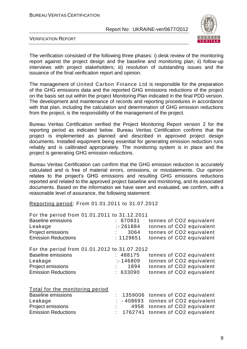

VERIFICATION REPORT

The verification consisted of the following three phases: i) desk review of the monitoring report against the project design and the baseline and monitoring plan; ii) follow-up interviews with project stakeholders; iii) resolution of outstanding issues and the issuance of the final verification report and opinion.

The management of United Carbon Finance Ltd is responsible for the preparation of the GHG emissions data and the reported GHG emissions reductions of the project on the basis set out within the project Monitoring Plan indicated in the final PDD version. The development and maintenance of records and reporting procedures in accordance with that plan, including the calculation and determination of GHG emission reductions from the project, is the responsibility of the management of the project.

Bureau Veritas Certification verified the Project Monitoring Report version 2 for the reporting period as indicated below. Bureau Veritas Certification confirms that the project is implemented as planned and described in approved project design documents. Installed equipment being essential for generating emission reduction runs reliably and is calibrated appropriately. The monitoring system is in place and the project is generating GHG emission reductions.

Bureau Veritas Certification can confirm that the GHG emission reduction is accurately calculated and is free of material errors, omissions, or misstatements. Our opinion relates to the project's GHG emissions and resulting GHG emissions reductions reported and related to the approved project baseline and monitoring, and its associated documents. Based on the information we have seen and evaluated, we confirm, with a reasonable level of assurance, the following statement:

Reporting period: From 01.01.2011 to 31.07.2012

| For the period from 01.01.2011 to 31.12.2011 |             |                          |
|----------------------------------------------|-------------|--------------------------|
| <b>Baseline emissions</b>                    | : 870831    | tonnes of CO2 equivalent |
| Leakage                                      | $: -261884$ | tonnes of CO2 equivalent |
| Project emissions                            | 3064        | tonnes of CO2 equivalent |
| <b>Emission Reductions</b>                   | : 1129651   | tonnes of CO2 equivalent |
| For the period from 01.01.2012 to 31.07.2012 |             |                          |
| <b>Baseline emissions</b>                    | : 488175    | tonnes of CO2 equivalent |
| Leakage                                      | $: -146809$ | tonnes of CO2 equivalent |
| Project emissions                            | 1894        | tonnes of CO2 equivalent |
| <b>Emission Reductions</b>                   | : 633090    | tonnes of CO2 equivalent |
|                                              |             |                          |

|  | Total for the monitoring period |  |
|--|---------------------------------|--|
|  |                                 |  |

| Baseline emissions         |  | : 1359006 tonnes of CO2 equivalent   |
|----------------------------|--|--------------------------------------|
| Leakage                    |  | $: -408693$ tonnes of CO2 equivalent |
| <b>Project emissions</b>   |  | 4958 tonnes of CO2 equivalent        |
| <b>Emission Reductions</b> |  | $: 1762741$ tonnes of CO2 equivalent |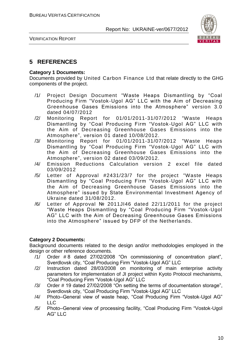

VERIFICATION REPORT

#### **5 REFERENCES**

#### **Category 1 Documents:**

Documents provided by United Carbon Finance Ltd that relate directly to the GHG components of the project.

- /1/ Project Design Document "Waste Heaps Dismantling by "Coal Producing Firm "Vostok-Ugol AG" LLC with the Aim of Decreasing Greenhouse Gases Emissions into the Atmosphere" version 3.0 dated 04/07/2012
- /2/ Monitoring Report for 01/01/2011-31/07/2012 "Waste Heaps Dismantling by "Coal Producing Firm "Vostok -Ugol AG" LLC with the Aim of Decreasing Greenhouse Gases Emissions into the Atmosphere", version 01 dated 10/08/2012.
- /3/ Monitoring Report for 01/01/2011-31/07/2012 "Waste Heaps Dismantling by "Coal Producing Firm "Vostok -Ugol AG" LLC with the Aim of Decreasing Greenhouse Gases Emissions into the Atmosphere", version 02 dated 03/09/2012.
- /4/ Emission Reductions Calculation version 2 excel file dated 03/09/2012
- /5/ Letter of Approval #2431/23/7 for the project "Waste Heaps Dismantling by "Coal Producing Firm "Vostok -Ugol AG" LLC with the Aim of Decreasing Greenhouse Gases Emissions into the Atmosphere" issued by State Environmental Investment Agency of Ukraine dated 31/08/2012.
- /6/ Letter of Approval № 2011JI46 dated 22/11/2011 for the project "Waste Heaps Dismantling by "Coal Producing Firm "Vostok -Ugol AG" LLC with the Aim of Decreasing Greenhouse Gases Emissions into the Atmosphere" issued by DFP of the Netherlands.

#### **Category 2 Documents:**

Background documents related to the design and/or methodologies employed in the design or other reference documents.

- /1/ Order # 8 dated 27/02/2008 "On commissioning of concentration plant", Sverdlovsk city, "Coal Producing Firm "Vostok-Ugol AG" LLC
- /2/ Instruction dated 28/03/2008 on monitoring of main enterprise activity parameters for implementation of JI project within Kyoto Protocol mechanisms, "Coal Producing Firm "Vostok-Ugol AG" LLC
- /3/ Order # 19 dated 27/02/2008 "On setting the terms of documentation storage", Sverdlovsk city, "Coal Producing Firm "Vostok-Ugol AG" LLC
- /4/ Photo–General view of waste heap, "Coal Producing Firm "Vostok-Ugol AG"  $\sqcup$  C
- /5/ Photo–General view of processing facility, "Coal Producing Firm "Vostok-Ugol AG" LLC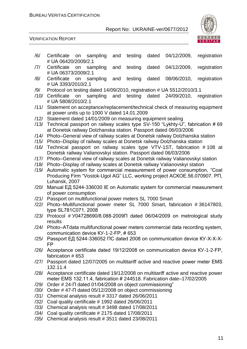

#### VERIFICATION REPORT

- /6/ Certificate on sampling and testing dated 04/12/2009, registration # UА 06420/2009/2.1
- /7/ Certificate on sampling and testing dated 04/12/2009, registration # UА 06373/2009/2.1
- /8/ Certificate on sampling and testing dated 08/06/2010, registration # UА 3393/2010/2.1
- /9/ Protocol on testing dated 14/09/2010, registration # UА 5512/2010/3.1
- /10/ Certificate on sampling and testing dated 24/09/2010, registration # UА 5808/2010/2.1
- /11/ Statement on acceptance/replacement/technical check of measuring equipment at power units up to 1000 V dated 14.01.2009
- /12/ Statement dated 14/01/2009 on measuring equipment sealing
- /13/ Technical passport on railway scales type SV-150 "Lykhty-U", fabrication # 69 at Donetsk railway Dolzhanska station. Passport dated 06/03/2006
- /14/ Photo–General view of railway scales at Donetsk railway Dolzhanska station
- /15/ Photo–Display of railway scales at Donetsk railway Dolzhanska station
- /16/ Technical passport on railway scales type VTV-1ST, fabrication # 108 at Donetsk railway Valianovskyi station. Passport dated 06/03/2006
- /17/ Photo–General view of railway scales at Donetsk railway Valianovskyi station
- /18/ Photo–Display of railway scales at Donetsk railway Valianovskyi station
- /19/ Automatic system for commercial measurement of power consumption, "Coal Producing Firm "Vostok-Ugol AG" LLC, working project АСКОЕ.56.070907. РП, Luhansk, 2007
- /20/ Manual ЕД 5244-336030 ІЕ on Automatic system for commercial measurement of power consumption
- /21/ Passport on multifunctional power meters SL 7000 Smart
- /22/ Photo–Multifunctional power meter SL 7000 Smart, fabrication # 36147803, type SL781С071, 2008
- /23/ Protocol # У04728690/8.088-2009П dated 06/04/2009 on metrological study results
- /24/ Photo–АТdаta multifunctional power meters commercial data recording system, communication device КУ-1-2-FР, # 653
- /25/ Passport ЕД 5244-336052 ПС dated 2008 on communication device КУ-Х-Х-Х-FР
- /26/ Acceptance certificate dated 19/12/2008 on communication device КУ-1-2-FР, fabrication # 653
- /27/ Passport dated 12/07/2005 on multitariff active and reactive power meter ЕМS 132.11.4
- /28/ Acceptance certificate dated 19/12/2008 on multitariff active and reactive power meter ЕМS 132.11.4, fabrication # 244518. Fabrication date–17/02/2005
- /29/ Order # 24-П dated 01/04/2008 on object commissioning"
- /30/ Order # 47-П dated 05/12/2008 on object commissioning
- /31/ Chemical analysis result # 3317 dated 26/06/2011
- /32/ Coal quality certificate # 1992 dated 26/06/2011
- /33/ Chemical analysis result # 3498 dated 17/08/2011
- /34/ Coal quality certificate # 2175 dated 17/08/2011
- /35/ Chemical analysis result # 3511 dated 23/08/2011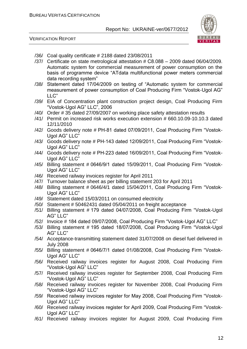

#### VERIFICATION REPORT

- /36/ Coal quality certificate # 2188 dated 23/08/2011
- /37/ Certificate on state metrological attestation # С8.088 2009 dated 06/04/2009. Automatic system for commercial measurement of power consumption on the basis of programme device "АТdаta multifunctional power meters commercial data recording system"
- /38/ Statement dated 17/04/2009 on testing of "Automatic system for commercial measurement of power consumption of Coal Producing Firm "Vostok-Ugol AG" LLC"
- /39/ EIA of Concentration plant construction project design, Coal Producing Firm "Vostok-Ugol AG" LLC", 2006
- /40/ Order # 35 dated 27/09/2007 on working place safety attestation results
- /41/ Permit on increased risk works execution extension # 660.10.09-10.10.3 dated 12/11/2010
- /42/ Goods delivery note # РН-81 dated 07/09/2011, Coal Producing Firm "Vostok-Ugol AG" LLC"
- /43/ Goods delivery note # РН-143 dated 12/09/2011, Coal Producing Firm "Vostok-Ugol AG" LLC"
- /44/ Goods delivery note # РН-223 dated 16/09/2011, Coal Producing Firm "Vostok-Ugol AG" LLC"
- /45/ Billing statement # 0646/9/1 dated 15/09/2011, Coal Producing Firm "Vostok-Ugol AG" LLC"
- /46/ Received railway invoices register for April 2011
- /47/ Turnover balance sheet as per billing statement 203 for April 2011
- /48/ Billing statement # 0646/4/1 dated 15/04/2011, Coal Producing Firm "Vostok-Ugol AG" LLC"
- /49/ Statement dated 15/03/2011 on consumed electricity
- /50/ Statement # 50462431 dated 05/04/2011 on freight acceptance
- /51/ Billing statement # 179 dated 04/07/2008, Coal Producing Firm "Vostok-Ugol AG" LLC"
- /52/ Invoice # 184 dated 09/07/2008, Coal Producing Firm "Vostok-Ugol AG" LLC"
- /53/ Billing statement # 195 dated 18/07/2008, Coal Producing Firm "Vostok-Ugol AG" LLC"
- /54/ Acceptance-transmitting statement dated 31/07/2008 on diesel fuel delivered in July 2008
- /55/ Billing statement # 0646/7/1 dated 01/08/2008, Coal Producing Firm "Vostok-Ugol AG" LLC"
- /56/ Received railway invoices register for August 2008, Coal Producing Firm "Vostok-Ugol AG" LLC"
- /57/ Received railway invoices register for September 2008, Coal Producing Firm "Vostok-Ugol AG" LLC"
- /58/ Received railway invoices register for November 2008, Coal Producing Firm "Vostok-Ugol AG" LLC"
- /59/ Received railway invoices register for May 2008, Coal Producing Firm "Vostok-Ugol AG" LLC"
- /60/ Received railway invoices register for April 2009, Coal Producing Firm "Vostok-Ugol AG" LLC"
- /61/ Received railway invoices register for August 2009, Coal Producing Firm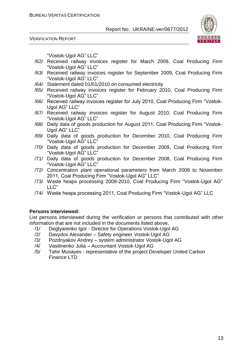VERIFICATION REPORT



"Vostok-Ugol AG" LLC"

- /62/ Received railway invoices register for March 2009, Coal Producing Firm "Vostok-Ugol AG" LLC"
- /63/ Received railway invoices register for September 2009, Coal Producing Firm "Vostok-Ugol AG" LLC"
- /64/ Statement dated 01/01/2010 on consumed electricity
- /65/ Received railway invoices register for February 2010, Coal Producing Firm "Vostok-Ugol AG" LLC"
- /66/ Received railway invoices register for July 2010, Coal Producing Firm "Vostok-Ugol AG" LLC"
- /67/ Received railway invoices register for August 2010, Coal Producing Firm "Vostok-Ugol AG" LLC"
- /68/ Daily data of goods production for August 2011, Coal Producing Firm "Vostok-Ugol AG" LLC"
- /69/ Daily data of goods production for December 2010, Coal Producing Firm "Vostok-Ugol AG" LLC"
- /70/ Daily data of goods production for December 2009, Coal Producing Firm "Vostok-Ugol AG" LLC"
- /71/ Daily data of goods production for December 2008, Coal Producing Firm "Vostok-Ugol AG" LLC"
- /72/ Concentration plant operational parameters from March 2008 to November 2011, Coal Producing Firm "Vostok-Ugol AG" LLC"
- /73/ Waste heaps processing 2008-2010, Coal Producing Firm "Vostok-Ugol AG" LLC"
- /74/ Waste heaps processing 2011, Coal Producing Firm "Vostok-Ugol AG" LLC

#### **Persons interviewed:**

List persons interviewed during the verification or persons that contributed with other information that are not included in the documents listed above.

- /1/ Degtyarenko Igor Director for Operations Vostok-Ugol AG
- /2/ Davydov Alexander Safety engineer Vostok-Ugol AG
- /3/ Pozdnyakov Andrey system administrator Vostok-Ugol AG
- /4/ Vasilinenko Julia Accountant Vostok-Ugol AG
- /5/ Tahir Musayev representative of the project Developer United Carbon Finance LTD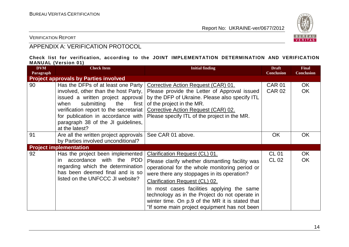

VERIFICATION REPORT

## APPENDIX A: VERIFICATION PROTOCOL

#### **Check list for verification, according to the JOINT IMPLEMENTATION DETERMINATION AND VERIFICATION MANUAL (Version 01)**

| <b>DVM</b><br>Paragraph | <b>Check Item</b>                                                                                                                                                                                                                                                                             | <b>Initial finding</b>                                                                                                                                                                                                                                                                                                                                                                                                        | <b>Draft</b><br><b>Conclusion</b> | <b>Final</b><br><b>Conclusion</b> |
|-------------------------|-----------------------------------------------------------------------------------------------------------------------------------------------------------------------------------------------------------------------------------------------------------------------------------------------|-------------------------------------------------------------------------------------------------------------------------------------------------------------------------------------------------------------------------------------------------------------------------------------------------------------------------------------------------------------------------------------------------------------------------------|-----------------------------------|-----------------------------------|
|                         | <b>Project approvals by Parties involved</b>                                                                                                                                                                                                                                                  |                                                                                                                                                                                                                                                                                                                                                                                                                               |                                   |                                   |
| 90                      | Has the DFPs of at least one Party<br>involved, other than the host Party,<br>issued a written project approval<br>submitting<br>when<br>the<br>first<br>verification report to the secretariat<br>for publication in accordance with<br>paragraph 38 of the JI guidelines,<br>at the latest? | Corrective Action Request (CAR) 01.<br>Please provide the Letter of Approval issued<br>by the DFP of Ukraine. Please also specify ITL<br>of the project in the MR.<br>Corrective Action Request (CAR) 02.<br>Please specify ITL of the project in the MR.                                                                                                                                                                     | <b>CAR 01</b><br><b>CAR 02</b>    | OK.<br><b>OK</b>                  |
| 91                      | Are all the written project approvals<br>by Parties involved unconditional?                                                                                                                                                                                                                   | See CAR 01 above.                                                                                                                                                                                                                                                                                                                                                                                                             | <b>OK</b>                         | <b>OK</b>                         |
|                         | <b>Project implementation</b>                                                                                                                                                                                                                                                                 |                                                                                                                                                                                                                                                                                                                                                                                                                               |                                   |                                   |
| 92                      | Has the project been implemented<br>accordance with the PDD<br>in.<br>regarding which the determination<br>has been deemed final and is so<br>listed on the UNFCCC JI website?                                                                                                                | Clarification Request (CL) 01.<br>Please clarify whether dismantling facility was<br>operational for the whole monitoring period or<br>were there any stoppages in its operation?<br><b>Clarification Request (CL) 02.</b><br>In most cases facilities applying the same<br>technology as in the Project do not operate in<br>winter time. On p.9 of the MR it is stated that<br>"If some main project equipment has not been | <b>CL 01</b><br><b>CL 02</b>      | <b>OK</b><br><b>OK</b>            |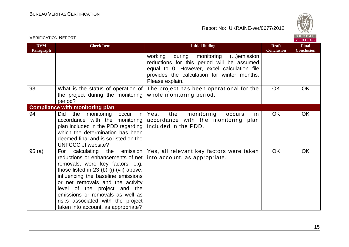

| <b>VERIFICATION REPORT</b> |                                                                                                                                                                                                                                                                                                                                                                                                 |                                                                                                                                                                                                              |                                   | BUREAU<br><b>VERITAS</b>          |
|----------------------------|-------------------------------------------------------------------------------------------------------------------------------------------------------------------------------------------------------------------------------------------------------------------------------------------------------------------------------------------------------------------------------------------------|--------------------------------------------------------------------------------------------------------------------------------------------------------------------------------------------------------------|-----------------------------------|-----------------------------------|
| <b>DVM</b><br>Paragraph    | <b>Check Item</b>                                                                                                                                                                                                                                                                                                                                                                               | <b>Initial finding</b>                                                                                                                                                                                       | <b>Draft</b><br><b>Conclusion</b> | <b>Final</b><br><b>Conclusion</b> |
|                            |                                                                                                                                                                                                                                                                                                                                                                                                 | during<br>monitoring<br>()emission<br>working<br>reductions for this period will be assumed<br>equal to 0. However, excel calculation file<br>provides the calculation for winter months.<br>Please explain. |                                   |                                   |
| 93                         | What is the status of operation of<br>the project during the monitoring<br>period?                                                                                                                                                                                                                                                                                                              | The project has been operational for the<br>whole monitoring period.                                                                                                                                         | OK                                | <b>OK</b>                         |
|                            | <b>Compliance with monitoring plan</b>                                                                                                                                                                                                                                                                                                                                                          |                                                                                                                                                                                                              |                                   |                                   |
| 94                         | <b>Did</b><br>monitoring<br>the<br>occur<br>in<br>accordance with the monitoring<br>plan included in the PDD regarding<br>which the determination has been<br>deemed final and is so listed on the<br>UNFCCC JI website?                                                                                                                                                                        | the<br>Yes,<br>monitoring<br>occurs<br>in.<br>accordance with the monitoring plan<br>included in the PDD.                                                                                                    | OK                                | <b>OK</b>                         |
| 95(a)                      | For calculating<br>reductions or enhancements of net   into account, as appropriate.<br>removals, were key factors, e.g.<br>those listed in $23$ (b) (i)-(vii) above,<br>influencing the baseline emissions<br>or net removals and the activity<br>level of the project and the<br>emissions or removals as well as<br>risks associated with the project<br>taken into account, as appropriate? | the emission   Yes, all relevant key factors were taken                                                                                                                                                      | <b>OK</b>                         | <b>OK</b>                         |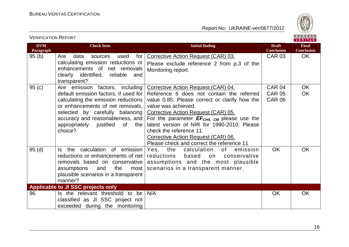VERIFICATION REPORT



| <b>DVM</b><br>Paragraph | <b>Check Item</b>                                                                                                                                                                                                                                                             | <b>Initial finding</b>                                                                                                                                                                                                                                                                                                                                                                                           | <b>Draft</b><br><b>Conclusion</b>               | <b>Final</b><br><b>Conclusion</b> |
|-------------------------|-------------------------------------------------------------------------------------------------------------------------------------------------------------------------------------------------------------------------------------------------------------------------------|------------------------------------------------------------------------------------------------------------------------------------------------------------------------------------------------------------------------------------------------------------------------------------------------------------------------------------------------------------------------------------------------------------------|-------------------------------------------------|-----------------------------------|
| 95(b)                   | Are<br>data<br>for<br>used<br>sources<br>calculating emission reductions or<br>enhancements of net removals<br>clearly identified, reliable<br>and<br>transparent?                                                                                                            | Corrective Action Request (CAR) 03.<br>Please exclude reference 2 from p.3 of the<br>Monitoring report.                                                                                                                                                                                                                                                                                                          | <b>CAR 03</b>                                   | <b>OK</b>                         |
| 95(c)                   | Are emission factors, including<br>default emission factors, if used for<br>calculating the emission reductions<br>or enhancements of net removals,<br>selected by carefully balancing<br>accuracy and reasonableness, and<br>appropriately justified<br>of<br>the<br>choice? | Corrective Action Request (CAR) 04.<br>Reference 6 does not contain the referred<br>value 0.85. Please correct or clarify how the<br>value was achieved.<br>Corrective Action Request (CAR) 05.<br>For the parameter $EF_{CH4, CM}$ please use the<br>latest version of NIR for 1990-2010. Please<br>check the reference 11.<br>Corrective Action Request (CAR) 06.<br>Please check and correct the reference 11 | <b>CAR 04</b><br><b>CAR 05</b><br><b>CAR 06</b> | <b>OK</b><br><b>OK</b>            |
| 95(d)                   | the calculation of emission<br>ls.<br>reductions or enhancements of net<br>removals based on conservative<br>the<br>assumptions<br>and<br>most<br>plausible scenarios in a transparent<br>manner?                                                                             | the<br>calculation<br>of<br>Yes,<br>emission<br>reductions<br>based<br>on<br>conservative<br>assumptions and the most plausible<br>scenarios in a transparent manner.                                                                                                                                                                                                                                            | <b>OK</b>                                       | <b>OK</b>                         |
|                         | Applicable to JI SSC projects only                                                                                                                                                                                                                                            |                                                                                                                                                                                                                                                                                                                                                                                                                  |                                                 |                                   |
| 96                      | Is the relevant threshold to be<br>classified as JI SSC project not<br>exceeded during the monitoring                                                                                                                                                                         | N/A                                                                                                                                                                                                                                                                                                                                                                                                              | <b>OK</b>                                       | <b>OK</b>                         |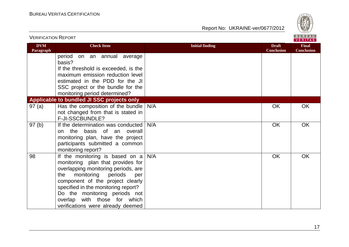

| <b>VERIFICATION REPORT</b> |                                                                             |                        |                                   | BUREAU<br><b>VERITAS</b>          |
|----------------------------|-----------------------------------------------------------------------------|------------------------|-----------------------------------|-----------------------------------|
| <b>DVM</b><br>Paragraph    | <b>Check Item</b>                                                           | <b>Initial finding</b> | <b>Draft</b><br><b>Conclusion</b> | <b>Final</b><br><b>Conclusion</b> |
|                            | period<br>on an annual average<br>basis?                                    |                        |                                   |                                   |
|                            | If the threshold is exceeded, is the                                        |                        |                                   |                                   |
|                            | maximum emission reduction level                                            |                        |                                   |                                   |
|                            | estimated in the PDD for the JI                                             |                        |                                   |                                   |
|                            | SSC project or the bundle for the<br>monitoring period determined?          |                        |                                   |                                   |
|                            | Applicable to bundled JI SSC projects only                                  |                        |                                   |                                   |
| 97(a)                      | Has the composition of the bundle                                           | N/A                    | OK                                | OK                                |
|                            | not changed from that is stated in                                          |                        |                                   |                                   |
|                            | F-JI-SSCBUNDLE?                                                             |                        |                                   |                                   |
| 97(b)                      | If the determination was conducted                                          | N/A                    | OK                                | OK                                |
|                            | the basis of an overall<br>on                                               |                        |                                   |                                   |
|                            | monitoring plan, have the project                                           |                        |                                   |                                   |
|                            | participants submitted a common                                             |                        |                                   |                                   |
|                            | monitoring report?                                                          |                        |                                   |                                   |
| 98                         | If the monitoring is based on $a \mid$<br>monitoring plan that provides for | N/A                    | OK                                | OK                                |
|                            | overlapping monitoring periods, are                                         |                        |                                   |                                   |
|                            | monitoring<br>periods<br>the<br>per                                         |                        |                                   |                                   |
|                            | component of the project clearly                                            |                        |                                   |                                   |
|                            | specified in the monitoring report?                                         |                        |                                   |                                   |
|                            | Do the monitoring periods not                                               |                        |                                   |                                   |
|                            | overlap with those for which                                                |                        |                                   |                                   |
|                            | verifications were already deemed                                           |                        |                                   |                                   |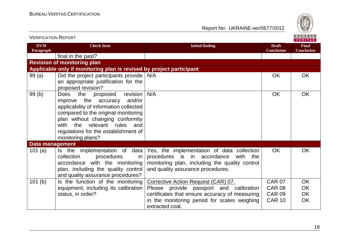

| <b>VERIFICATION REPORT</b> |                                                                                                                                                                                                                                                                                                  |                                                                                                                                                                                 |                                   | BUREAU<br><b>VERITAS</b>          |
|----------------------------|--------------------------------------------------------------------------------------------------------------------------------------------------------------------------------------------------------------------------------------------------------------------------------------------------|---------------------------------------------------------------------------------------------------------------------------------------------------------------------------------|-----------------------------------|-----------------------------------|
| <b>DVM</b><br>Paragraph    | <b>Check Item</b>                                                                                                                                                                                                                                                                                | <b>Initial finding</b>                                                                                                                                                          | <b>Draft</b><br><b>Conclusion</b> | <b>Final</b><br><b>Conclusion</b> |
|                            | final in the past?                                                                                                                                                                                                                                                                               |                                                                                                                                                                                 |                                   |                                   |
|                            | <b>Revision of monitoring plan</b>                                                                                                                                                                                                                                                               |                                                                                                                                                                                 |                                   |                                   |
|                            | Applicable only if monitoring plan is revised by project participant                                                                                                                                                                                                                             |                                                                                                                                                                                 |                                   |                                   |
| 99(a)                      | Did the project participants provide   N/A<br>an appropriate justification for the<br>proposed revision?                                                                                                                                                                                         |                                                                                                                                                                                 | OK                                | <b>OK</b>                         |
| 99(b)                      | revision<br><b>Does</b><br>the<br>proposed<br>the accuracy<br>and/or<br>improve<br>applicability of information collected<br>compared to the original monitoring<br>plan without changing conformity<br>with the relevant rules and<br>regulations for the establishment of<br>monitoring plans? | N/A                                                                                                                                                                             | <b>OK</b>                         | <b>OK</b>                         |
| <b>Data management</b>     |                                                                                                                                                                                                                                                                                                  |                                                                                                                                                                                 |                                   |                                   |
| 101 $(a)$                  | Is the implementation of data<br>collection<br>procedures<br>in<br>accordance with the monitoring<br>plan, including the quality control<br>and quality assurance procedures?                                                                                                                    | Yes, the implementation of data collection<br>procedures is in accordance<br>with<br>the<br>monitoring plan, including the quality control<br>and quality assurance procedures. | <b>OK</b>                         | <b>OK</b>                         |
| 101(b)                     | Is the function of the monitoring                                                                                                                                                                                                                                                                | Corrective Action Request (CAR) 07.                                                                                                                                             | <b>CAR 07</b>                     | OK                                |
|                            | equipment, including its calibration                                                                                                                                                                                                                                                             | Please provide passport and calibration                                                                                                                                         | <b>CAR 08</b>                     | OK                                |
|                            | status, in order?                                                                                                                                                                                                                                                                                | certificates that ensure accuracy of measuring                                                                                                                                  | <b>CAR 09</b>                     | OK                                |
|                            |                                                                                                                                                                                                                                                                                                  | in the monitoring period for scales weighing<br>extracted coal.                                                                                                                 | <b>CAR 10</b>                     | OK                                |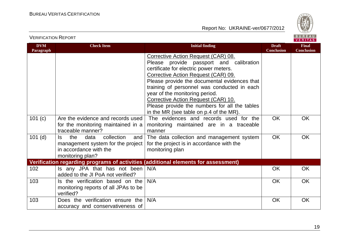



VERIFICATION REPORT

| <b>DVM</b><br>Paragraph | <b>Check Item</b>                                                                                                          | <b>Initial finding</b>                                                                                                                                                                                                                                                                                                                                                                                                              | <b>Draft</b><br><b>Conclusion</b> | <b>Final</b><br><b>Conclusion</b> |
|-------------------------|----------------------------------------------------------------------------------------------------------------------------|-------------------------------------------------------------------------------------------------------------------------------------------------------------------------------------------------------------------------------------------------------------------------------------------------------------------------------------------------------------------------------------------------------------------------------------|-----------------------------------|-----------------------------------|
|                         |                                                                                                                            | Corrective Action Request (CAR) 08.<br>Please provide passport and calibration<br>certificate for electric power meters.<br>Corrective Action Request (CAR) 09.<br>Please provide the documental evidences that<br>training of personnel was conducted in each<br>year of the monitoring period.<br>Corrective Action Request (CAR) 10.<br>Please provide the numbers for all the tables<br>in the MR (see table on p.4 of the MR). |                                   |                                   |
| 101(c)                  | Are the evidence and records used<br>for the monitoring maintained in a<br>traceable manner?                               | The evidences and records used for the<br>monitoring maintained are in a traceable<br>manner                                                                                                                                                                                                                                                                                                                                        | <b>OK</b>                         | <b>OK</b>                         |
| $101$ (d)               | the<br>data<br>collection<br>Is.<br>and<br>management system for the project<br>in accordance with the<br>monitoring plan? | The data collection and management system<br>for the project is in accordance with the<br>monitoring plan                                                                                                                                                                                                                                                                                                                           | <b>OK</b>                         | <b>OK</b>                         |
|                         |                                                                                                                            | Verification regarding programs of activities (additional elements for assessment)                                                                                                                                                                                                                                                                                                                                                  |                                   |                                   |
| 102                     | Is any JPA that has not been $N/A$<br>added to the JI PoA not verified?                                                    |                                                                                                                                                                                                                                                                                                                                                                                                                                     | <b>OK</b>                         | <b>OK</b>                         |
| 103                     | Is the verification based on the<br>monitoring reports of all JPAs to be<br>verified?                                      | N/A                                                                                                                                                                                                                                                                                                                                                                                                                                 | <b>OK</b>                         | <b>OK</b>                         |
| 103                     | Does the verification ensure the<br>accuracy and conservativeness of                                                       | N/A                                                                                                                                                                                                                                                                                                                                                                                                                                 | <b>OK</b>                         | <b>OK</b>                         |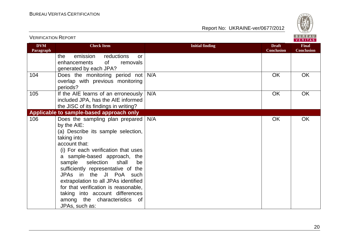

| <b>VERIFICATION REPORT</b> |                                                                                                                                                                                                                                                                                                                                                                                                                                                                           |                        |                                   | BUREAU<br><b>VERITAS</b>          |
|----------------------------|---------------------------------------------------------------------------------------------------------------------------------------------------------------------------------------------------------------------------------------------------------------------------------------------------------------------------------------------------------------------------------------------------------------------------------------------------------------------------|------------------------|-----------------------------------|-----------------------------------|
| <b>DVM</b><br>Paragraph    | <b>Check Item</b>                                                                                                                                                                                                                                                                                                                                                                                                                                                         | <b>Initial finding</b> | <b>Draft</b><br><b>Conclusion</b> | <b>Final</b><br><b>Conclusion</b> |
|                            | emission<br>reductions<br>the<br><b>or</b><br>of<br>enhancements<br>removals<br>generated by each JPA?                                                                                                                                                                                                                                                                                                                                                                    |                        |                                   |                                   |
| 104                        | Does the monitoring period not<br>overlap with previous monitoring<br>periods?                                                                                                                                                                                                                                                                                                                                                                                            | N/A                    | <b>OK</b>                         | <b>OK</b>                         |
| 105                        | If the AIE learns of an erroneously<br>included JPA, has the AIE informed<br>the JISC of its findings in writing?                                                                                                                                                                                                                                                                                                                                                         | N/A                    | <b>OK</b>                         | <b>OK</b>                         |
|                            | Applicable to sample-based approach only                                                                                                                                                                                                                                                                                                                                                                                                                                  |                        |                                   |                                   |
| 106                        | Does the sampling plan prepared<br>by the AIE:<br>(a) Describe its sample selection,<br>taking into<br>account that:<br>(i) For each verification that uses<br>a sample-based approach, the<br>sample selection shall<br>be<br>sufficiently representative of the<br>JPAs in the JI PoA<br>such<br>extrapolation to all JPAs identified<br>for that verification is reasonable,<br>taking into account differences<br>among the characteristics<br>of .<br>JPAs, such as: | N/A                    | <b>OK</b>                         | <b>OK</b>                         |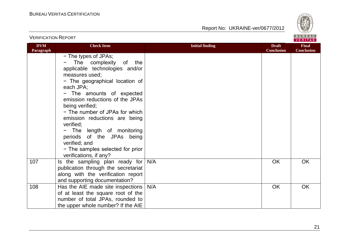

| <b>VERIFICATION REPORT</b> |                                                                                                                                                                                                                                                                                                                                                                                                                                                                     |                        |                                   | BUREAU<br><b>VERITAS</b>          |
|----------------------------|---------------------------------------------------------------------------------------------------------------------------------------------------------------------------------------------------------------------------------------------------------------------------------------------------------------------------------------------------------------------------------------------------------------------------------------------------------------------|------------------------|-----------------------------------|-----------------------------------|
| <b>DVM</b><br>Paragraph    | <b>Check Item</b>                                                                                                                                                                                                                                                                                                                                                                                                                                                   | <b>Initial finding</b> | <b>Draft</b><br><b>Conclusion</b> | <b>Final</b><br><b>Conclusion</b> |
|                            | - The types of JPAs;<br>The complexity<br>of<br>the<br>applicable technologies and/or<br>measures used;<br>- The geographical location of<br>each JPA;<br>- The amounts of expected<br>emission reductions of the JPAs<br>being verified;<br>- The number of JPAs for which<br>emission reductions are being<br>verified;<br>- The length of monitoring<br>periods of the JPAs being<br>verified; and<br>- The samples selected for prior<br>verifications, if any? |                        |                                   |                                   |
| 107                        | Is the sampling plan ready for<br>publication through the secretariat<br>along with the verification report<br>and supporting documentation?                                                                                                                                                                                                                                                                                                                        | N/A                    | <b>OK</b>                         | OK                                |
| 108                        | Has the AIE made site inspections  <br>of at least the square root of the<br>number of total JPAs, rounded to<br>the upper whole number? If the AIE                                                                                                                                                                                                                                                                                                                 | N/A                    | OK                                | <b>OK</b>                         |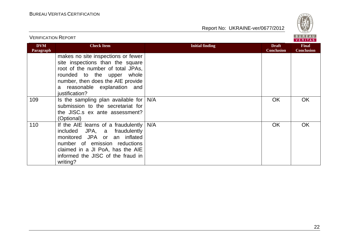

| <b>VERIFICATION REPORT</b> |                                                                                                                                                                                                                                      |                        | BUREAU<br><b>VERITAS</b>          |                                   |
|----------------------------|--------------------------------------------------------------------------------------------------------------------------------------------------------------------------------------------------------------------------------------|------------------------|-----------------------------------|-----------------------------------|
| <b>DVM</b><br>Paragraph    | <b>Check Item</b>                                                                                                                                                                                                                    | <b>Initial finding</b> | <b>Draft</b><br><b>Conclusion</b> | <b>Final</b><br><b>Conclusion</b> |
|                            | makes no site inspections or fewer<br>site inspections than the square<br>root of the number of total JPAs,<br>rounded to the upper<br>whole<br>number, then does the AIE provide<br>a reasonable explanation and<br>justification?  |                        |                                   |                                   |
| 109                        | Is the sampling plan available for<br>submission to the secretariat for<br>the JISC.s ex ante assessment?<br>(Optional)                                                                                                              | N/A                    | <b>OK</b>                         | OK                                |
| 110                        | If the AIE learns of a fraudulently $  N/A$<br>included<br>JPA, a fraudulently<br>monitored JPA or an inflated<br>number of emission reductions<br>claimed in a JI PoA, has the AIE<br>informed the JISC of the fraud in<br>writing? |                        | <b>OK</b>                         | OK.                               |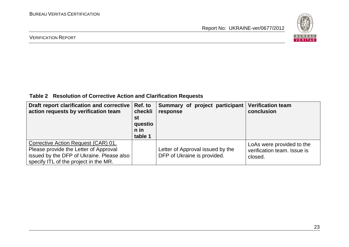

#### VERIFICATION REPORT

**Table 2 Resolution of Corrective Action and Clarification Requests**

| Draft report clarification and corrective<br>action requests by verification team                                                                                  | Ref. to<br>checkli<br>st<br>questio<br>$n$ in<br>table 1 | Summary of project participant<br>response                      | <b>Verification team</b><br>conclusion                              |
|--------------------------------------------------------------------------------------------------------------------------------------------------------------------|----------------------------------------------------------|-----------------------------------------------------------------|---------------------------------------------------------------------|
| Corrective Action Request (CAR) 01.<br>Please provide the Letter of Approval<br>issued by the DFP of Ukraine. Please also<br>specify ITL of the project in the MR. |                                                          | Letter of Approval issued by the<br>DFP of Ukraine is provided. | LoAs were provided to the<br>verification team. Issue is<br>closed. |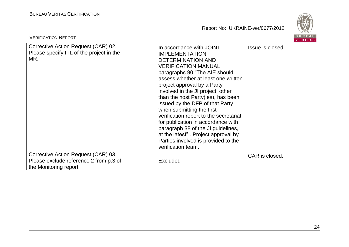

| <b>VERIFICATION REPORT</b>                                                                              |                                                                                                                                                                                                                                                                                                                                                                                                                                                                                                                                                                                         | <b>BUREAU</b><br><b>VERITAS</b> |
|---------------------------------------------------------------------------------------------------------|-----------------------------------------------------------------------------------------------------------------------------------------------------------------------------------------------------------------------------------------------------------------------------------------------------------------------------------------------------------------------------------------------------------------------------------------------------------------------------------------------------------------------------------------------------------------------------------------|---------------------------------|
| Corrective Action Request (CAR) 02.<br>Please specify ITL of the project in the<br>MR.                  | In accordance with JOINT<br><b>IMPLEMENTATION</b><br><b>DETERMINATION AND</b><br><b>VERIFICATION MANUAL</b><br>paragraphs 90 "The AIE should<br>assess whether at least one written<br>project approval by a Party<br>involved in the JI project, other<br>than the host Party(ies), has been<br>issued by the DFP of that Party<br>when submitting the first<br>verification report to the secretariat<br>for publication in accordance with<br>paragraph 38 of the JI guidelines,<br>at the latest". Project approval by<br>Parties involved is provided to the<br>verification team. | Issue is closed.                |
| Corrective Action Request (CAR) 03.<br>Please exclude reference 2 from p.3 of<br>the Monitoring report. | <b>Excluded</b>                                                                                                                                                                                                                                                                                                                                                                                                                                                                                                                                                                         | CAR is closed.                  |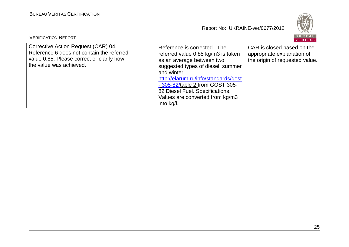

| <b>VERIFICATION REPORT</b>                                                                                                                               |                                                                                                                                                                                                                                                                                                                  | BUREAU<br>VERITAS                                                                          |
|----------------------------------------------------------------------------------------------------------------------------------------------------------|------------------------------------------------------------------------------------------------------------------------------------------------------------------------------------------------------------------------------------------------------------------------------------------------------------------|--------------------------------------------------------------------------------------------|
| Corrective Action Request (CAR) 04.<br>Reference 6 does not contain the referred<br>value 0.85. Please correct or clarify how<br>the value was achieved. | Reference is corrected. The<br>referred value 0.85 kg/m3 is taken<br>as an average between two<br>suggested types of diesel: summer<br>and winter<br>http://elarum.ru/info/standards/gost<br>- 305-82/table 2 from GOST 305-<br>82 Diesel Fuel. Specifications.<br>Values are converted from kg/m3<br>into kg/l. | CAR is closed based on the<br>appropriate explanation of<br>the origin of requested value. |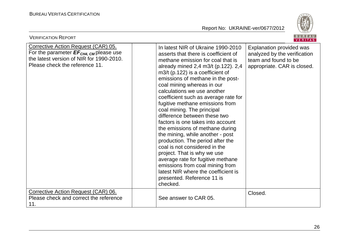

| <b>VERIFICATION REPORT</b>                                                                                                                                                     |                                                                                                                                                                                                                                                                                                                                                                                                                                                                                                                                                                                                                                                                                                                                                                                                                  | BUREAU<br><b>VERITAS</b>                                                                                        |
|--------------------------------------------------------------------------------------------------------------------------------------------------------------------------------|------------------------------------------------------------------------------------------------------------------------------------------------------------------------------------------------------------------------------------------------------------------------------------------------------------------------------------------------------------------------------------------------------------------------------------------------------------------------------------------------------------------------------------------------------------------------------------------------------------------------------------------------------------------------------------------------------------------------------------------------------------------------------------------------------------------|-----------------------------------------------------------------------------------------------------------------|
| <b>Corrective Action Request (CAR) 05.</b><br>For the parameter $EF_{CH4, \text{CM}}$ please use<br>the latest version of NIR for 1990-2010.<br>Please check the reference 11. | In latest NIR of Ukraine 1990-2010<br>asserts that there is coefficient of<br>methane emission for coal that is<br>already mined 2,4 m3/t (p.122). 2,4<br>$m3/t$ (p.122) is a coefficient of<br>emissions of methane in the post-<br>coal mining whereas in our<br>calculations we use another<br>coefficient such as average rate for<br>fugitive methane emissions from<br>coal mining. The principal<br>difference between these two<br>factors is one takes into account<br>the emissions of methane during<br>the mining, while another - post<br>production. The period after the<br>coal is not considered in the<br>project. That is why we use<br>average rate for fugitive methane<br>emissions from coal mining from<br>latest NIR where the coefficient is<br>presented. Reference 11 is<br>checked. | Explanation provided was<br>analyzed by the verification<br>team and found to be<br>appropriate. CAR is closed. |
| Corrective Action Request (CAR) 06.<br>Please check and correct the reference<br>11.                                                                                           | See answer to CAR 05.                                                                                                                                                                                                                                                                                                                                                                                                                                                                                                                                                                                                                                                                                                                                                                                            | Closed.                                                                                                         |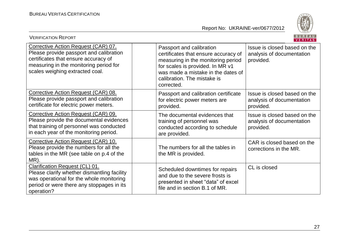

| BUREAU<br><b>VERIFICATION REPORT</b><br>VERITAS                                                                                                                                                     |                                                                                                                                                                                                                               |                                                                        |  |
|-----------------------------------------------------------------------------------------------------------------------------------------------------------------------------------------------------|-------------------------------------------------------------------------------------------------------------------------------------------------------------------------------------------------------------------------------|------------------------------------------------------------------------|--|
| Corrective Action Request (CAR) 07.<br>Please provide passport and calibration<br>certificates that ensure accuracy of<br>measuring in the monitoring period for<br>scales weighing extracted coal. | Passport and calibration<br>certificates that ensure accuracy of<br>measuring in the monitoring period<br>for scales is provided. In MR v1<br>was made a mistake in the dates of<br>calibration. The mistake is<br>corrected. | Issue is closed based on the<br>analysis of documentation<br>provided. |  |
| Corrective Action Request (CAR) 08.<br>Please provide passport and calibration<br>certificate for electric power meters.                                                                            | Passport and calibration certificate<br>for electric power meters are<br>provided.                                                                                                                                            | Issue is closed based on the<br>analysis of documentation<br>provided. |  |
| Corrective Action Request (CAR) 09.<br>Please provide the documental evidences<br>that training of personnel was conducted<br>in each year of the monitoring period.                                | The documental evidences that<br>training of personnel was<br>conducted according to schedule<br>are provided.                                                                                                                | Issue is closed based on the<br>analysis of documentation<br>provided. |  |
| Corrective Action Request (CAR) 10.<br>Please provide the numbers for all the<br>tables in the MR (see table on p.4 of the<br>MR).                                                                  | The numbers for all the tables in<br>the MR is provided.                                                                                                                                                                      | CAR is closed based on the<br>corrections in the MR.                   |  |
| Clarification Request (CL) 01.<br>Please clarify whether dismantling facility<br>was operational for the whole monitoring<br>period or were there any stoppages in its<br>operation?                | Scheduled downtimes for repairs<br>and due to the severe frosts is<br>presented in sheet "data" of excel<br>file and in section B.1 of MR.                                                                                    | CL is closed                                                           |  |